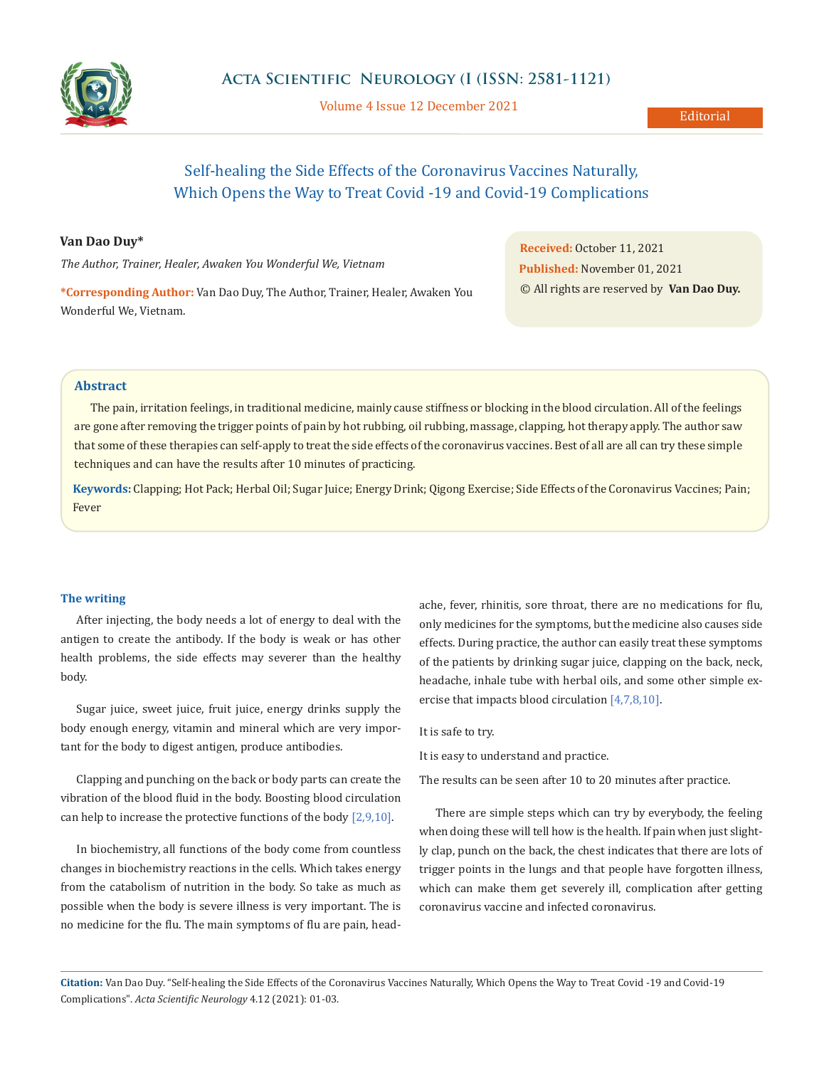

Volume 4 Issue 12 December 2021

# Self-healing the Side Effects of the Coronavirus Vaccines Naturally, Which Opens the Way to Treat Covid -19 and Covid-19 Complications

#### **Van Dao Duy\***

*The Author, Trainer, Healer, Awaken You Wonderful We, Vietnam*

**\*Corresponding Author:** Van Dao Duy, The Author, Trainer, Healer, Awaken You Wonderful We, Vietnam.

**Received:** October 11, 2021 **Published:** November 01, 2021 © All rights are reserved by **Van Dao Duy.**

## **Abstract**

The pain, irritation feelings, in traditional medicine, mainly cause stiffness or blocking in the blood circulation. All of the feelings are gone after removing the trigger points of pain by hot rubbing, oil rubbing, massage, clapping, hot therapy apply. The author saw that some of these therapies can self-apply to treat the side effects of the coronavirus vaccines. Best of all are all can try these simple techniques and can have the results after 10 minutes of practicing.

**Keywords:** Clapping; Hot Pack; Herbal Oil; Sugar Juice; Energy Drink; Qigong Exercise; Side Effects of the Coronavirus Vaccines; Pain; Fever

#### **The writing**

After injecting, the body needs a lot of energy to deal with the antigen to create the antibody. If the body is weak or has other health problems, the side effects may severer than the healthy body.

Sugar juice, sweet juice, fruit juice, energy drinks supply the body enough energy, vitamin and mineral which are very important for the body to digest antigen, produce antibodies.

Clapping and punching on the back or body parts can create the vibration of the blood fluid in the body. Boosting blood circulation can help to increase the protective functions of the body [2,9,10].

In biochemistry, all functions of the body come from countless changes in biochemistry reactions in the cells. Which takes energy from the catabolism of nutrition in the body. So take as much as possible when the body is severe illness is very important. The is no medicine for the flu. The main symptoms of flu are pain, headache, fever, rhinitis, sore throat, there are no medications for flu, only medicines for the symptoms, but the medicine also causes side effects. During practice, the author can easily treat these symptoms of the patients by drinking sugar juice, clapping on the back, neck, headache, inhale tube with herbal oils, and some other simple exercise that impacts blood circulation [4,7,8,10].

It is safe to try.

It is easy to understand and practice.

The results can be seen after 10 to 20 minutes after practice.

There are simple steps which can try by everybody, the feeling when doing these will tell how is the health. If pain when just slightly clap, punch on the back, the chest indicates that there are lots of trigger points in the lungs and that people have forgotten illness, which can make them get severely ill, complication after getting coronavirus vaccine and infected coronavirus.

**Citation:** Van Dao Duy. "Self-healing the Side Effects of the Coronavirus Vaccines Naturally, Which Opens the Way to Treat Covid -19 and Covid-19 Complications". *Acta Scientific Neurology* 4.12 (2021): 01-03.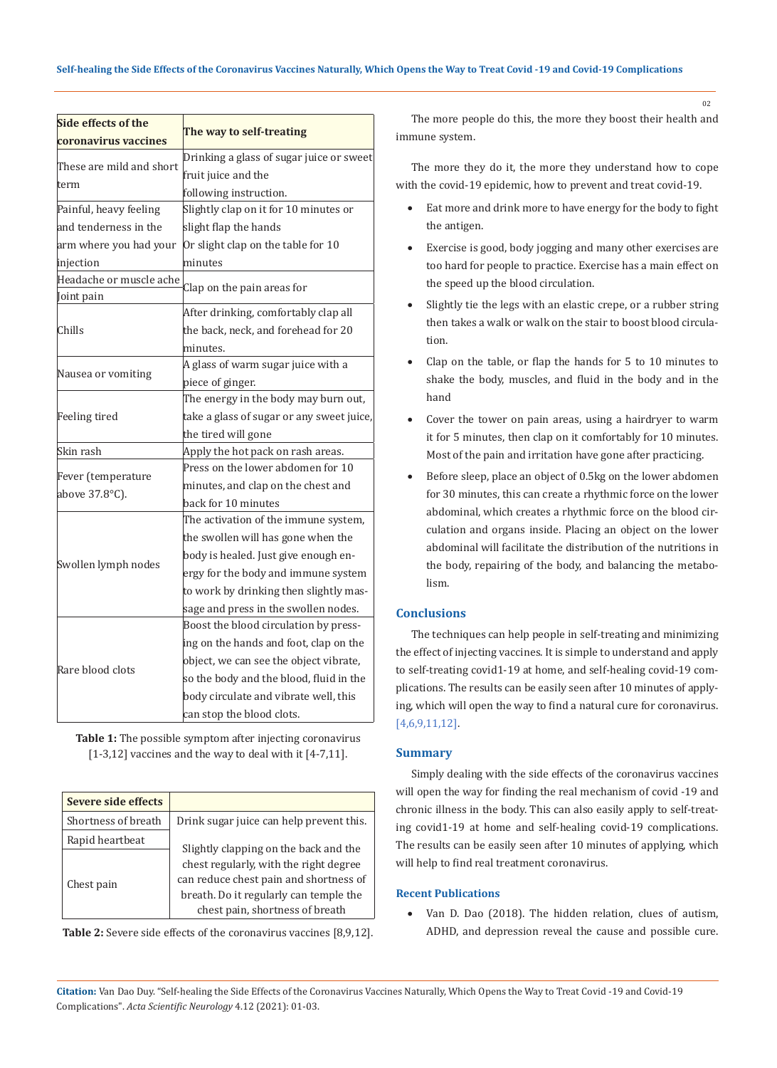| Side effects of the                  |                                           |  |
|--------------------------------------|-------------------------------------------|--|
| coronavirus vaccines                 | The way to self-treating                  |  |
| These are mild and short<br>term     | Drinking a glass of sugar juice or sweet  |  |
|                                      | fruit juice and the                       |  |
|                                      | following instruction.                    |  |
| Painful, heavy feeling               | Slightly clap on it for 10 minutes or     |  |
| and tenderness in the                | slight flap the hands                     |  |
| arm where you had your               | Or slight clap on the table for 10        |  |
| injection                            | minutes                                   |  |
| Headache or muscle ache              |                                           |  |
| Joint pain                           | Clap on the pain areas for                |  |
| Chills                               | After drinking, comfortably clap all      |  |
|                                      | the back, neck, and forehead for 20       |  |
|                                      | minutes.                                  |  |
| Nausea or vomiting                   | A glass of warm sugar juice with a        |  |
|                                      | piece of ginger.                          |  |
| Feeling tired                        | The energy in the body may burn out,      |  |
|                                      | take a glass of sugar or any sweet juice, |  |
|                                      | the tired will gone                       |  |
| Skin rash                            | Apply the hot pack on rash areas.         |  |
|                                      | Press on the lower abdomen for 10         |  |
| Fever (temperature<br>above 37.8°C). | minutes, and clap on the chest and        |  |
|                                      | back for 10 minutes                       |  |
| Swollen lymph nodes                  | The activation of the immune system,      |  |
|                                      | the swollen will has gone when the        |  |
|                                      | body is healed. Just give enough en-      |  |
|                                      | ergy for the body and immune system       |  |
|                                      | to work by drinking then slightly mas-    |  |
|                                      | sage and press in the swollen nodes.      |  |
| Rare blood clots                     | Boost the blood circulation by press-     |  |
|                                      | ing on the hands and foot, clap on the    |  |
|                                      | object, we can see the object vibrate,    |  |
|                                      | so the body and the blood, fluid in the   |  |
|                                      | body circulate and vibrate well, this     |  |
|                                      | can stop the blood clots.                 |  |

**Table 1:** The possible symptom after injecting coronavirus [1-3,12] vaccines and the way to deal with it [4-7,11].

| Severe side effects           |                                                                                                                                                                                                        |
|-------------------------------|--------------------------------------------------------------------------------------------------------------------------------------------------------------------------------------------------------|
| Shortness of breath           | Drink sugar juice can help prevent this.                                                                                                                                                               |
| Rapid heartbeat<br>Chest pain | Slightly clapping on the back and the<br>chest regularly, with the right degree<br>can reduce chest pain and shortness of<br>breath. Do it regularly can temple the<br>chest pain, shortness of breath |

**Table 2:** Severe side effects of the coronavirus vaccines [8,9,12].

The more people do this, the more they boost their health and immune system.

The more they do it, the more they understand how to cope with the covid-19 epidemic, how to prevent and treat covid-19.

- Eat more and drink more to have energy for the body to fight the antigen.
- • Exercise is good, body jogging and many other exercises are too hard for people to practice. Exercise has a main effect on the speed up the blood circulation.
- Slightly tie the legs with an elastic crepe, or a rubber string then takes a walk or walk on the stair to boost blood circulation.
- Clap on the table, or flap the hands for 5 to 10 minutes to shake the body, muscles, and fluid in the body and in the hand
- • Cover the tower on pain areas, using a hairdryer to warm it for 5 minutes, then clap on it comfortably for 10 minutes. Most of the pain and irritation have gone after practicing.
- Before sleep, place an object of 0.5kg on the lower abdomen for 30 minutes, this can create a rhythmic force on the lower abdominal, which creates a rhythmic force on the blood circulation and organs inside. Placing an object on the lower abdominal will facilitate the distribution of the nutritions in the body, repairing of the body, and balancing the metabolism.

## **Conclusions**

The techniques can help people in self-treating and minimizing the effect of injecting vaccines. It is simple to understand and apply to self-treating covid1-19 at home, and self-healing covid-19 complications. The results can be easily seen after 10 minutes of applying, which will open the way to find a natural cure for coronavirus. [4,6,9,11,12].

## **Summary**

Simply dealing with the side effects of the coronavirus vaccines will open the way for finding the real mechanism of covid -19 and chronic illness in the body. This can also easily apply to self-treating covid1-19 at home and self-healing covid-19 complications. The results can be easily seen after 10 minutes of applying, which will help to find real treatment coronavirus.

### **Recent Publications**

Van D. Dao (2018). The hidden relation, clues of autism, ADHD, and depression reveal the cause and possible cure.

**Citation:** Van Dao Duy. "Self-healing the Side Effects of the Coronavirus Vaccines Naturally, Which Opens the Way to Treat Covid -19 and Covid-19 Complications". *Acta Scientific Neurology* 4.12 (2021): 01-03.

02